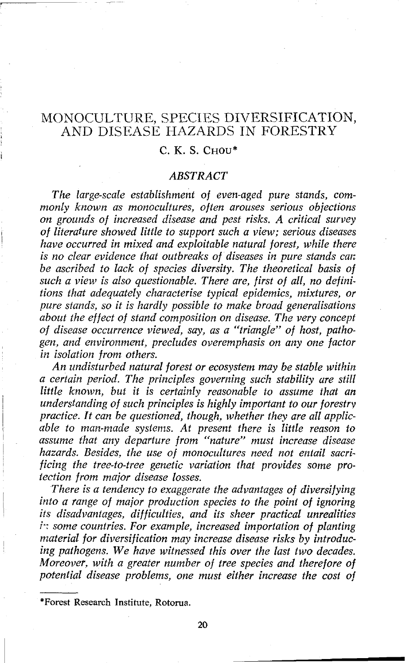# MONOCULTURE, SPECIES DIVERSIFICATION, AND DISEASE HAZARDS IN FORESTRY

# С. К. S. Снои\*

#### *ABSTRACT*

*The large-scale establishment of even-aged pure stands, commonly known as monoculfures, often arouses serious objections on grounds of increased disease and pest risks. A critical survey*  <sup>i</sup>*of literature showed little to support such a view; serious diseases have occurred in mixed and exploitable nafural forest, while there is no clear evidence that outbreaks of diseases in pure stands car: be ascribed to lack of species diversity. The theoretical basis of such a view is also questionable. There are, first of all, no definitions that adequately characterise typical epidemics, mixtures, or pure stands, so it is hardly possible to make broad generalisations about the effect of stand composition on disease. The very concept of disease occurrence viewed, say, as a "triangle" of host, pathogen, and environment, precludes overemphasis on any one factor in isolation from others.* 

*An undisturbed natural forest or ecosystem may be stable within a certain period. The principles governing such stability ure still little known, but it is certainly reasonable to assume that an*  <sup>I</sup>*understanding of such principles is highly important to our forestry*  practice. It can be questioned, though, whether they are all applic*able to man-made systems. At present there is little reason to*  1 *assume that any departure from "nature" must increase disease hazards. Besides, the use of monocultures need not entail sacri-* <sup>I</sup> ficing the tree-to-tree genetic variation that provides some pro*tection from major disease losses.* 

I *There is a tendency to exaggerate the advantages of diversifying into a range of major production species to the point of ignoring* ' *its disadvantages, difficulties, and its sheer practical unrealities*  in some countries. For example, increased importation of planting material for diversification may increase disease risks by introduc*ing pathogens. We have witnessed this over the last two decades. Moreover. with a greater number of tree species and therefore of*  potential disease problems, one must either increase the cost of

**<sup>\*</sup>Forest Research Institute, Rotorua.**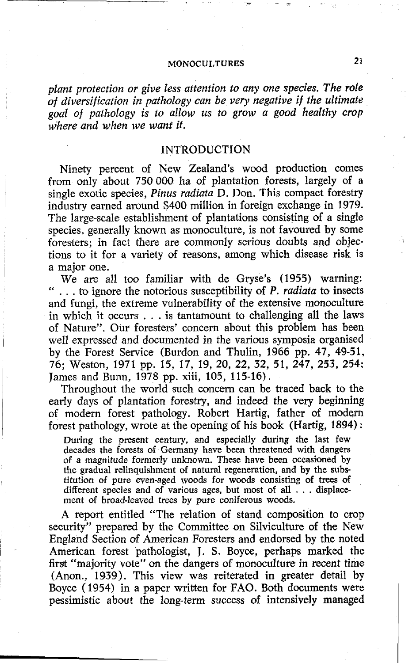*plant protection or give less attention to any one species. The role of diversification in pathology can be very negative if the ultimate goal of pathology is to allow us to grow a good healthy crop where and when we want if.* 

#### INTRODUCTION

Ninety percent of New Zealand's wood production comes from only about 750 000 ha of plantation forests, largely of a single exotic species, *Pinus radiata* D. Don. This compact forestry industry earned around \$400 million in foreign exchange in 1979. The large-scale establishment of plantations consisting of a single species, generally known as monoculture, is not favoured by some foresters; in fact there are commonly serious doubts and objections to it for a variety of reasons, among which disease risk is a major one.

We are all too familiar with de Gryse's (1955) warning: " . . . to ignore the notorious susceptibility **of** P. *radiata* to insects and fungi, the extreme vulnerability of the extensive monoculture in which it occurs . . . is tantamount to challenging all the laws of Nature". Our foresters' concern about this problem has been well expressed and documented in the various symposia organised by the Forest Service (Burdon and Thulin, 1966 pp. 47, 49-51, 76; Weston, 1971 pp. 15, 17, 19, 20, 22, 32, 51, 247, 253, 254; James and Bunn, 1978 pp. xiii, 105, 115-16) .

Throughout the world such concern can be traced back to the early days of plantation forestry, and indeed the very beginning of modern forest pathology. Robert Hartig, father **of** modem forest pathology, wrote at the opening of his book (Hartig, 1894) :

During the present century, and especially during the last few decades the forests of Germany have been threatened with dangers of a magnitude formerly unknown. These have been occasioned by the gradual relinquishment of natural regeneration, and by the substitution of pure even-aged woods for woods consisting of trees of different species and of various ages, but most of all . . . displacement of broad-leaved trees by pure coniferous woods.

**A** report entitled "The relation of stand composition to crop security" prepared by the Committee on Silviculture of the New England Section of American Foresters and endorsed by the noted American forest 'pathologist, J. **S.** Boyce, perhaps marked the first "majority vote" on the dangers of monoculture in recent time (Anon., 1939). This view was reiterated in greater detail by Boyce (1954) in a paper written for FAO. Both documents were pessimistic about the long-term success **of** intensively managed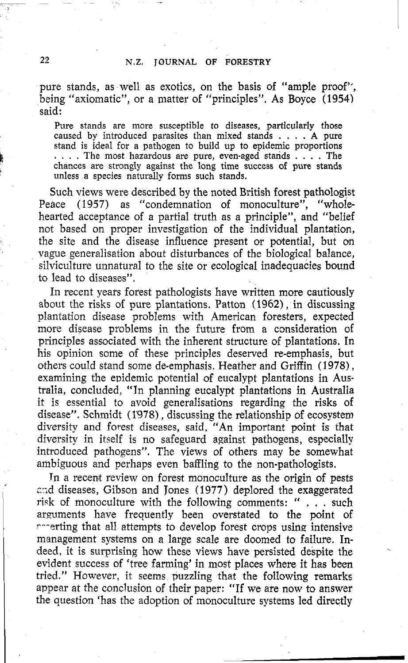pure stands, as well as exotics, on the basis of "ample proof'; being "axiomatic", or a matter of "principles". As Boyce (1954) said:

Pure stands are more susceptible to diseases, particularly those caused by introduced parasites than mixed stands . . . . **A** pure . . . . The most hazardous are pure, even-aged stands . . . . The chances are strongly against the long time success of pure stands unless a species naturally forms such stands.

Such views were described by the noted British forest pathologist Peace (1957) as "condemnation of monoculture", "wholehearted acceptance of a partial truth as a principle", and "belief not based on proper investigation of the individual plantation, the site and the disease influence present or potential, but on vague generalisation about disturbances of the biological balance, silviculture unnatural to the site or ecological inadequacies bound to lead to diseases".

In recent years forest pathologists have written more cautiously about the risks of pure plantations. Patton **(1962),** in discussing plantation disease problems with American foresters, expected more disease problems in the future from a consideration of principles associated with the inherent structure of plantations. In his opinion some of these principles deserved re-emphasis, but others could stand some de-emphasis. Heather and Griffin (1978), examining the epidemic potential of eucalypt plantations in Australia, concluded, "In planning eucalypt plantations in Australia it is essential to avoid generalisations regarding the risks of disease". Schmidt (1978), discussing the relationship of ecosystem diversity and forest diseases, said, "An important point is that diversity in itself is no safeguard against pathogens, especially introduced pathogens". The views of others may be somewhat ambiguous and perhaps even baffling to the non-pathologists.

In a recent review on forest monoculture as the origin of pests and diseases, Gibson and Jones (1977) deplored the exaggerated risk of monoculture with the following comments: " . . . such arguments have frequently been overstated to the point of  $\sim$ -erting that all attempts to develop forest crops using intensive management systems on a large scale are doomed to failure. Indeed, it is surprising how these views have persisted despite the evident success of 'tree farming' in most places where it has been tried." However, it seems puzzling that the following remarks appear at the conclusion of their paper: "If we are now to answer the question 'has the adoption of monoculture systems led directly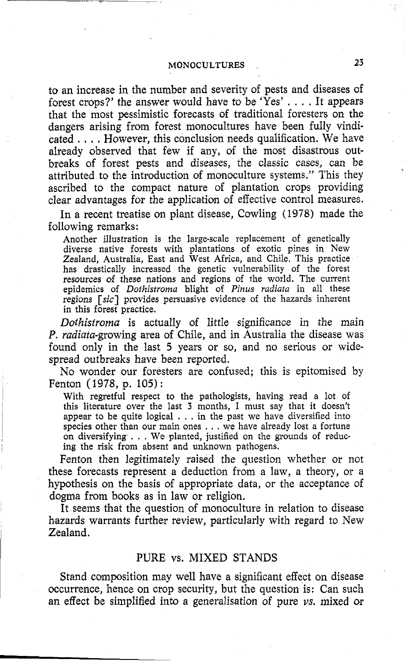to an increase in the number and severity of pests and diseases of forest crops?' the answer would have to be 'Yes' . . . . It appears that the most pessimistic forecasts of traditional foresters on the dangers arising from forest monocultures have been fully vindicated . . . . However, this conclusion needs qualification. We have already observed that few if any, of the most disastrous outbreaks of forest pests and diseases, the classic cases, can be attributed to the introduction of monoculture systems." This they ascribed to the compact nature of plantation crops providing clear advantages for the application of effective control measures.

In a recent treatise on plant disease, Cowling (1978) made the following remarks:

Another illustration is the large-scale replacement of genetically diverse native forests with plantations of exotic pines in New Zealand, Australia, East and West Africa, and Chile. This practice has drastically increased the genetic vulnerability of the forest resources of these nations and regions of the world. The current epidemics of *Dothistroma* blight of *Pinus radiata* in all these regions [sic] provides persuasive evidence of the hazards inherent in this forest practice.

Dothistroma is actually of little significance in the main P. radiata-growing area of Chile, and in Australia the disease was found only in the last 5 years or so, and no serious or widespread outbreaks have been reported.

No wonder our foresters are confused; this is epitmised by Fenton (1978, p. 105) :

With regretful respect to the pathologists, having read a lot of this literature over the last **3** months, I must say that it doesn't appear to be quite logical . . . in the past we have diversified into species other than our main ones . . . we have already lost a fortune on diversifying . . . We planted, justified on the grounds of reducing the risk from absent and unknown pathogens.

Fenton then legitimately raised the question whether or not these forecasts represent a deduction from a law, a theory, or a hypothesis on the basis of appropriate data, or the acceptance of dogma from books as in law or religion.

It seems that the question of monoculture in relation to disease hazards warrants further review, particularly with regard to New Zealand.

#### PURE vs. MIXED STANDS

Stand composition may well have a significant effect on disease occurrence, hence on crop security, but the question is: Can such an effect be simplified into a generalisation of pure **us.** mixed or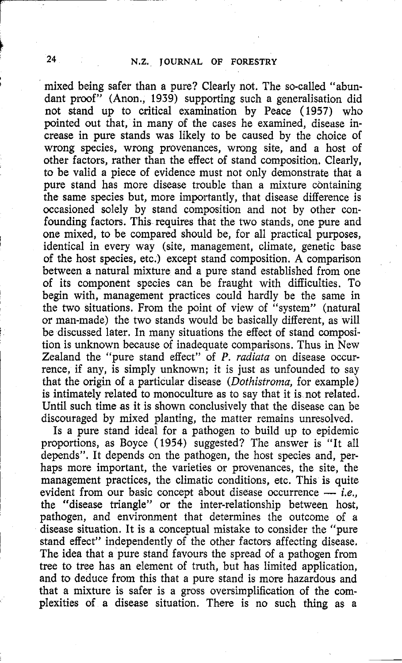mixed being safer than a pure? Clearly not. The so-called "abundant proof" (Anon., 1939) supporting such a generalisation did not sitand up to critical examination by Peace (1957) who pointed out that, in many of the cases he examined, disease increase in pure stands was likely to be caused by the choice of wrong species, wrong provenances, wrong site, and a host of other factors, rather than the effect of stand composition. Clearly, to be valid a piece of evidence must not only demonstrate that a pure stand has more disease trouble than a mixture containing the same species but, more importantly, that disease difference is occasioned solely by stand composition and not by other confounding factors. This requires that the two stands, one pure and one mixed, to be compared should be, for all practical purposes, identical in every way (site, management, climate, genetic base of the host species, etc.) except stand composition. A comparison between a natural mixture and a pure stand established from one of its component species can be fraught with difficulties. To begin with, management practices could hardly be the same in the two situations. From the point of view of "system" (natural **or** man-made) the two stands would be basically different, as will be discussed later. In many situations the effect of stand composition is unknown because of inadequate comparisons. Thus in New Zealand the "pure stand effect" of  $P$ . radiata on disease occurrence, if any, is simply unknown; it is just as unfounded to say that the origin of a particular disease (Dothistroma, for example) is intimately related to monoculture as to say that it is not related. Until such time as it is shown conclusively that the disease can be discouraged by mixed planting, the matter remains unresolved.

Is a pure stand ideal for a pathogen to build up to epidemic proportions, as Boyce (1954) suggested? The answer is "It all depends". It depends on the pathogen, the host species and, perhaps more important, the varieties or provenances, the site, the management practices, the climatic conditions, etc. This is quite evident from our basic concept about disease occurrence — *i.e.*,  $\frac{1}{2}$  the "disease tr management practices, the climatic conditions, etc. This is quite the "disease triangle" or the inter-relationship between host, pathogen, and environment that determines the outcome of a disease situation. It is a conceptual mistake to consider the "pure stand effect" independently of the other factors affecting disease. The idea that a pure stand favours the spread **of** a pathogen from tree to tree has an element of truth, but has limited application, and to deduce from this that a pure stand is more hazardous and that a mixture is safer is a gross oversimplification of the complexities of a disease situation. There is no such thing as a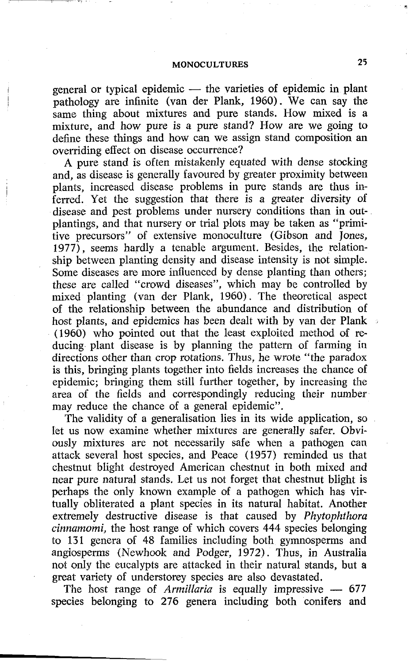general or typical epidemic  $-$  the varieties of epidemic in plant pathology are infinite (van der Plank, 1960). We can say the same thing about mixtures and pure stands. How mixed is a mixture, and how pure is a pure stand? How are we going to define these things and how can we assign stand composition an overriding effect on disease occurrence?

A pure stand is often mistakenly equated with dense stocking and, as disease is generally favoured by greater proximity between plants, increased disease problems in pure stands are thus inferred. Yet the suggestion that there is a greater diversity of disease and pest problems under nursery conditions than in outplantings, and that nursery or trial plots may be taken as "primitive precursors" of extensive monoculture (Gibson and Jones, 1977), seems hardly a tenable argument. Besides, the relationship between planting density and disease intensity is not simple. Some diseases are more influenced by dense planting than others; these are called "crowd diseases", which may be controlled by mixed planting (van der Plank, 1960). The theoretical aspect of the relationship between the abundance and distribution of host plants, and epidemics has been dealt with by van der Plank (1960) who pointed out that the least exploited method of reducing plant disease is by planning the pattern of farming in directions other than crop rotations. Thus, he wrote "the paradox is this, bringing plants together into fields increases the chance of epidemic; bringing them still further together, by increasing the area of the fields and correspondingly reducing their number may reduce the chance of a general epidemic".

The validity of a generalisation lies in its wide application, so let us now examine whether mixtures are generally safer. Obviously mixtures are not necessarily safe when a pathogen can attack several host species, and Peace (1957) reminded us that chestnut blight destroyed American chestnut in both mixed and near pure natural stands. Let us not forget that chestnut blight is perhaps the only known example of a pathogen which has virtually obliterated a plant species in its natural habitat. Another extremely destructive disease is that caused by *Phytophthora cinnamomi,* the host range of which covers 444 species belonging to 131 genera of 48 families including both gymnosperms and angiosperms (Newhook and Podger, 1972). Thus, in Australia not only the eucalypts are attacked in their natural stands, but a great variety of understorey species are also devastated.<br>The host range of *Armillaria* is equally impressive - 677 species helonging to 276 species inclu great variety of understorey species are also devastated.<br>The host range of *Armillaria* is equally impressive - 677

species belonging to 276 genera including both conifers and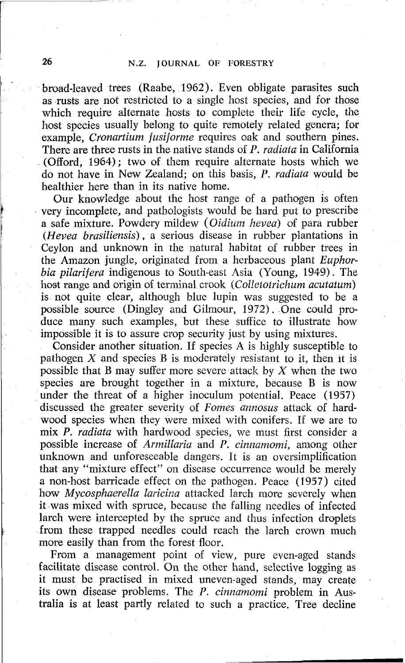broad-leaved trees (Raabe, 1962). Even obligate parasites such as rusts are not restricted to a single host species, and for those which require alternate hosts to complete their life cycle, the host species usually belong to quite remotely related genera; for example. Cronartium fusiforme requires oak and southern pines. There are three rusts in the native stands of P. *radiata* in California (Offord, 1964); two of them require alternate hosts which we do not have in New Zealand; on this basis, P. radiata would be healthier here than in its native home.

Our knowledge about the host range of a pathogen is often very incomplete, and pathologists would be hard put to prescribe a safe mixture. Powdery mildew (Oidium hevea) of para rubber (Hevea brasiliensis), a serious disease in rubber plantations in Ceylon and unknown in the natural habitat of rubber trees in the Amazon jungle, originated from a herbaceous plant Euphorbia pilarifera indigenous to South-east Asia (Young, 1949). The host range and origin of terminal crook (Colletotrichum acutatum) is not quite clear, although blue lupin was suggested to be a possible source (Dingley and Gilmour, 1972). One could produce many such examples, but these suffice to illustrate how impossible it is to assure crop security just by using mixtures.

Consider another situation. If species A is highly susceptible to pathogen X and species B is moderately resistant to it, then it is possible that B may suffer more severe attack by  $X$  when the two species are brought together in a mixture, because B is now under the threat of a higher inoculum potential. Peace (1957) discussed the greater severity of Fomes annosus attack of hardwood species when they were mixed with conifers. If we are to mix P. radiata with hardwood species, we must first consider a possible increase of Armillaria and P. cinnamomi, among other unknown and unforeseeable dangers. It is an oversimplification that any "mixture effect" on disease occurrence would be merely a non-host barricade effect on the pathogen. Peace (1957) cited how *Mycosphaerella laricina* attacked larch more severely when it was mixed with spruce, because the falling needles of infected larch were intercepted by the spruce and thus infection droplets from these trapped needles could reach the larch crown much more easily than from the forest floor.

From a management point of view, pure even-aged stands facilitate disease control. On the other hand, selective logging as it must be practised in mixed uneven-aged stands, may create its own disease problems. The P. cinnamomi problem in Australia is at least partly related to such a practice. Tree decline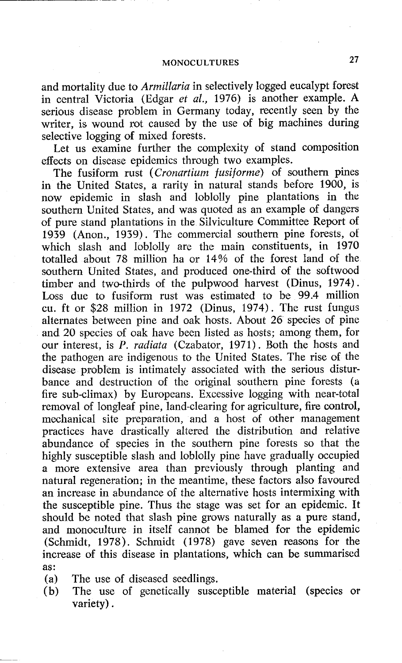and mortality due to *Armillaria* in selectively logged eucalypt forest in central Victoria (Edgar *et al.,* 1976) is another example. **A**  serious disease problem in Germany today, recently seen by the writer, is wound rot caused by the use of big machines during selective logging of mixed forests.

Let us examine further the complexity of stand composition effects on disease epidemics through two examples.

The fusiform rust *(Cronartium fusiforme)* of southern pines in the United States, a rarity in natural stands before 1900, is now epidemic in slash and loblolly pine plantations in the southern United States, and was quoted as an example of dangers of pure stand plantations in the Silviculture Committee Report of 1939 (Anon., 1939) . The commercial southern pine forests, of which slash and loblolly are the main constituents, in 1970 totalled about 78 million ha or 14% of the forest land of the southern United States, and produced one-third of the softwood timber and two-thirds of the pulpwood harvest (Dinus, 1974). Loss due to fusiform rust was estimated to be 99.4 million cu. ft or \$28 million in 1972 (Dinus, 1974). The rust fungus alternates between pine and oak hosts. About 26 species of pine and 20 species of oak have been listed as hosts; among them, for our interest, is P. *radiata* (Czabator, 1971). Both the hosts and the pathogen are indigenous to the United States. The rise of the disease problem is intimately associated with the serious disturbance and destruction of the original southern pine forests (a fire sub-climax) by Europeans. Excessive logging with near-total removal of longleaf pine, land-clearing for agriculture, fire control, mechanical site preparation, and a host of other management practices have drastically altered the distribution and relative abundance of species in the southern pine forests so that the highly susceptible slash and loblolly pine have gradually occupied a more extensive area than previously through planting and natural regeneration; in the meantime, these factors also favoured an increase in abundance of the alternative hosts intermixing with the susceptible pine. Thus the stage was set for an epidemic. It should be noted that slash pine grows naturally as a pure stand, and monoculture in itself cannot be blamed for the epidemic (Schmidt, 1978). Schmidt (1978) gave seven reasons for the increase of this disease in plantations, which can be summarised as :

- (a) The use of diseased seedlings.
- (b) The use of genetically susceptible material (species or variety).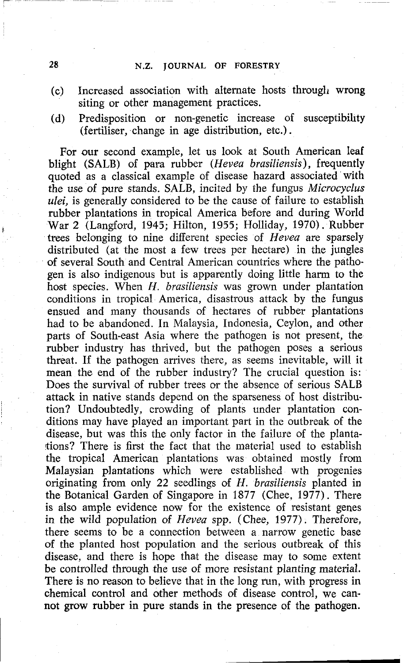- (c) Increased association with alternate hosts through wrong siting **or** other management practices.
- (d) Predisposition or non-genetic increase of susceptibility (fertiliser, change in age distribution, etc.).

For our second example, let us look at South American leaf blight (SALB) of para rubber (Hevea brasiliensis), frequently quoted as a classical example of disease hazard associated with the use of pure stands. SALB, incited by the fungus Microcyclus ulei, is generally considered to be the cause of failure to establish rubber plantations in tropical America before and during World **<sup>I</sup>**War 2 (Langford, 1945; Hilton, 1955; Holliday, 1970). Rubber trees belonging to nine different species of Hevea are sparsely distributed (at the most a few trees per hectare) in the jungles of several South and Central American countries where the pathogen is also indigenous but is apparently doing little harm to the host species. When H. brasiliensis was grown under plantation conditions in tropical America, disastrous attack by the fungus ensued and many thousands of hectares of rubber plantations had to be abandoned. In Malaysia, Indonesia, Ceylon, and other parts of South-east Asia where the pathogen is not present, the rubber industry has thrived, but the pathogen poses a serious threat. If the pathogen arrives there, as seems inevitable, will it mean the end of the rubber industry? The crucial question is: Does the survival of rubber trees or the absence of serious SALB attack in native stands depend on the sparseness of host distribution? Undoubtedly, crowding of plants under plantation conditions may have played an important part in the outbreak of the disease, but was this the only factor in the failure of the plantaltions? There is first the fact that the material used to establish the tropical American plantations was obtained mostly from Malaysian plantations which were established wth progenies originating from only 22 seedlings of H. brasiliensis planted in the Botanical Garden of Singapore in 1877 (Chee, 1977). There is also ample evidence now for the existence of resistant genes in the wild population of Hevea spp. (Chee, 1977). Therefore, there seems to be a connection between a narrow genetic base of the planted host population and the serious outbreak of this disease, and there is hope that the disease may to some extent be controlled through the use of more resistant planting material. There is no reason to believe that in the long run, with progress in chemical control and other methods of disease control, we cannot grow rubber in pure stands in the presence of the pathogen.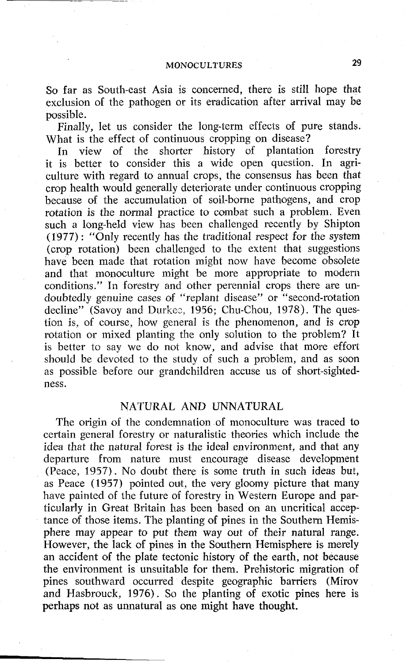So far as South-east Asia is concerned, there is still hope that exclusion of the pathogen or its eradication after arrival may be possible.

Finally, let us consider the long-term effects of pure stands. What is the effect of continuous cropping on disease?

In view of the shorter history of plantation forestry it is better to consider this a wide open question. In agriculture with regard to annual crops, the consensus has been that crop health would generally deteriorate under continuous cropping because of the accumulation of soil-borne pathogens, and crop rotation is the normal practice to combat such a problem. Even such a long-held view has been challenged recently by Shipton (1977) : "Only recently has the traditional respect for the system (crop rotation) been challenged to the extent that suggestions have been made that rotation might now have become obsolete and that monoculture might be more appropriate to modern conditions." In forestry and other perennial crops there are undoubtedly genuine cases of "replant disease" or "second-rotation decline" (Savoy and Durkee,  $1956$ ; Chu-Chou, 1978). The question is, of course, how general is the phenomenon, and is crop rotation or mixed planting the only solution to the problem? It is better to say we do not know, and advise that more effort should be devoted to the study of such a problem, and as soon as possible before our grandchildren accuse us of short-sightedness.

#### NATURAL AND UNNATURAL

The origin of the condemnation of monoculture was traced to certain general forestry or naturalistic theories which include the idea that the natural forest is the ideal environment, and that any departure from nature must encourage disease development (Peace, 1957). No doubt there is some truth in such ideas but, as Peace (1957) pointed out, the very gloomy picture that many have painted of the future of forestry in Western Europe and particularly in Great Britain has been based on an uncritical acceptance of those items. The planting of pines in the Southern Hemisphere may appear to put them way out of their natural range. However, the lack of pines in the Southern Hemisphere is merely an accident of the plate tectonic history of the earth, not because the environment is unsuitable for them. Prehistoric migration of pines southward occurred despite geographic barriers (Mirov and Hasbrouck, 1976). So the planting of exotic pines here is perhaps not as unnatural as one might have thought.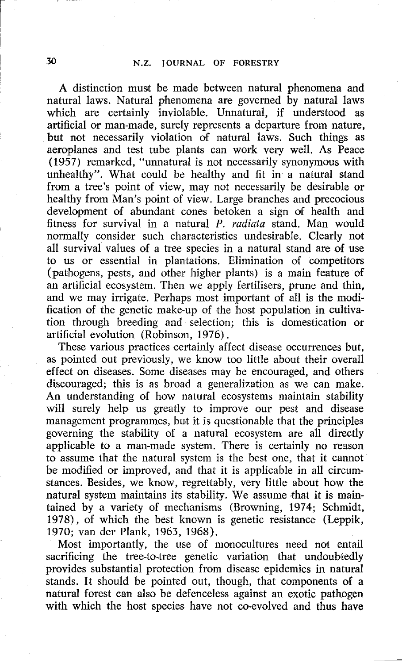A distinction must be made between natural phenomena and natural laws. Natural phenomena are governed by natural laws which are certainly inviolable. Unnatural, if understood as artificial or man-made, surely represents a departure from nature, but not necessarily violation of natural laws. Such things as aeroplanes and test tube plants can work very well. As Peace (1957) remarked, "unnatural is not necessarily synonymous with unhealthy". What could be healthy and fit in a natural stand from a tree's point of view, may not necessarily be desirable or healthy from Man's point of view. Large branches and precocious development of abundant cones betoken a sign **of** health and fitness for survival in a natural P. radiata stand. Man would normally consider such characteristics undesirable. Clearly not all survival values of a tree species in a natural stand are of use to us or essential in plantations. Elimination of competitors (pathogens, pests, and other higher plants) is a main feature of an artificial ecosystem. Then we apply fertilisers, prune and thin, and we may irrigate. Perhaps most important of all is the modification of the genetic make-up of the host population in cultivation through breeding and selection; this is domestication or artificial evolution (Robinson, 1976) .

These various practices certainly affect disease occurrences but, as pointed out previously, we know too little about their overall effect on diseases. Some diseases may be encouraged, and others discouraged; this is as broad a generalization as we can make. An understanding of how natural ecosystems maintain stability will surely help us greatly to improve our pest and disease management programmes, but it is questionable that the principles governing the stability of a natural ecosystem are all directly applicable to a man-made system. There is certainly no reason to assume that the natural system is the best one, that it cannot be modified or improved, and that it is applicable in all circumstances. Besides, we know, regrettably, very little about how the natural system maintains its stability. We assume that it is maintained by a variety of mechanisms (Browning, 1974; Schmidt, 1978), of which the best known is genetic resistance (Leppik, 1970; van der Plank, 1963, 1968).

Most importantly, the use of monocultures need not entail sacrificing the tree-to-tree genetic variation that undoubtedly provides substantial protection from disease epidemics in natural stands. It should be pointed out, though, that components of a natural forest can also be defenceless against an exotic pathogen with which the host species have not co-evolved and thus have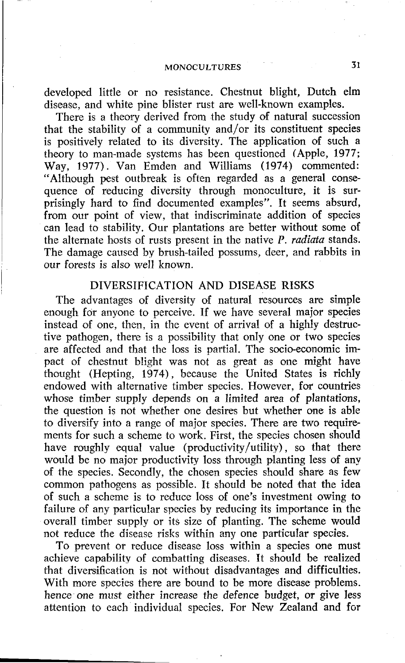developed little or no resistance. Chestnut blight, Dutch elm disease, and white pine blister rust are well-known examples.

There is a theory derived from the study of natural succession that the stability of a community and/or its constituent species is positively related to its diversity. The application of such a theory to man-made systems has been questioned (Apple, 1977; Way, 1977). Van Emden and Williams (1974) commented: "Although pest outbreak is often regarded as a general consequence **of** reducing diversity through monoculture, it is surprisingly hard to find documented examples". It seems absurd, from our point of view, that indiscriminate addition of species can lead to stability. Our plantations are better without some of the alternate hosts of rusts present in the native P. *radiata* stands. The damage caused by brush-tailed possums, deer, and rabbits in our forests is also well known.

#### DIVERSIFICATION AND DISEASE RISKS

The advantages of diversity of natural resources are simple enough for anyone to perceive. If we have several major species instead of one, then, in the event of arrival of a highly destructive pathogen, there is a possibility that only one or two species are affected and that the loss is partial. The socio-economic impact of chestnut blight was not as great as one might have thought (Hepting, 1974), because the United States is richly endowed with alternative timber species. However, for countries whose timber supply depends **on** a limited area of plantations, the question is not whether one desires but whether one is able to diversify into a range of major species. There are two require ments for such a scheme to work. First, the species chosen should have roughly equal value (productivity/utility) , so that there would be no major productivity loss through planting less of any of the species. Secondly, the chosen species should share as few common pathogens as possible. It should be noted 'that the idea of such a scheme is to reduce loss of one's investment owing to failure of any particular species by reducing its importance in the overall timber supply or its size of planting. The scheme would not reduce the disease risks within any one particular species.

To prevent or reduce disease loss within a species one must achieve capability of combatting diseases. It should be realized that diversification is not without disadvantages and difficulties. With more species there are bound to be more disease problems. hence one must either increase the defence budget, **OT** give less attention to each individual species. For New Zealand and for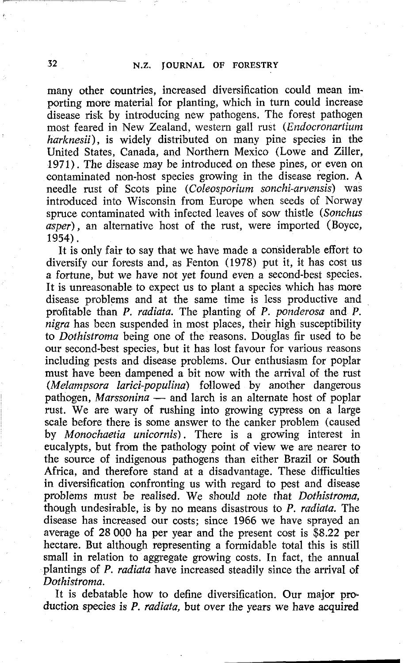many other countries, increased diversification could mean importing more material for planting, which in turn could increase disease risk by introducing new pathogens. The forest pathogen most feared in New Zealand, western gall rust *(Endocronortium harknesii),* is widely distributed on many pine species in the United States, Canada, and Northern Mexico (Lowe and Ziller, *1971).* The disease may be introduced on these pines, or even on contaminated non-host species growing in the disease region. **A**  needle rust of Scots pine *(Coleosporiurn sonchi-arvensis)* was introduced into Wisconsin from Europe when seeds of Norway spruce contaminated with infected leaves of sow thistle *(Sonchus asper),* an alternative host of the rust, were imported (Boycc, 1954).

It is only fair to say that we have made a considerable effort to diversify our forests and, as Fenton *(1978)* put it, it has cost us a fortune, but we have not yet found even a second-best species. It is unreasonable to expect us to plant a species which has more disease problems and at the same time is less productive and profitable than P. *radiata.* The planting of P. *ponderosa* and *P. nigra* has been suspended in most places, their high susceptibility to *Dothistroma* being one of the reasons. Douglas fir used to be our second-best species, but it has lost favour for various reasons including pests and disease problems. Our enthusiasm for poplar must have been dampened a bit now with the arrival of the rust<br>
(*Melampsora larici-populina*) followed by another dangerous<br>
pathogen, *Marssonina* — and larch is an alternate host of poplar<br>
must We was worm of mushing i *(Melampsora larici-populina)* followed by another dangerous rust. We are wary of rushing into growing cypress on a large scale before there is some answer to the canker problem (caused by *Monochaetia unicornis).* There is a growing interest in eucalypts, but from the pathology point **of** view we are nearer to the source of indigenous pathogens than either Brazil or South Africa, and therefore stand at a disadvantage. These difficulties in diversification confronting us with regard to pest and disease problems must be realised. We should note that *Dothistroma,*  though undesirable, is by no means disastrous to P. *mdiata.* The disease has increased our costs; since *1966* we have sprayed an average of *28* 000 ha per year and the present cost is *\$8.22* per hectare. But although representing a formidable total this is still small in relation to aggregate growing costs. In fact, the annual plantings of P. *radiata* have increased steadily since the arrival **of**  *Dothistrorna.* 

> It is debatable how to define diversification. Our major production species is P. *radiata,* but over the years we have acquired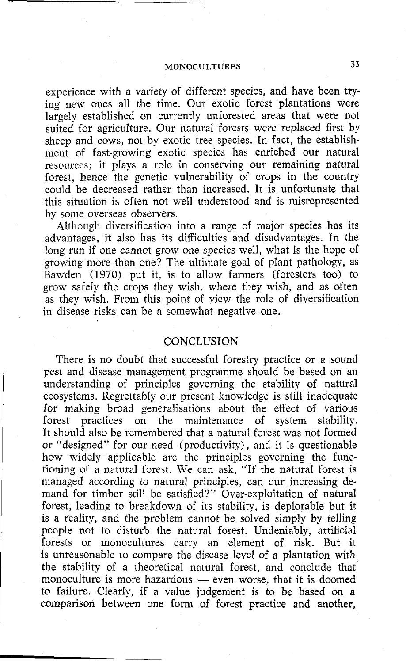experience with a variety of different species, and have been trying new ones all the time. Our exotic forest plantations were largely established on currently unforested areas that were not suited for agriculture. Our natural forests were replaced first by sheep and cows, not by exotic tree species. In fact, the establishment of fast-growing exotic species has enriched our natural resources; it plays a role in conserving our remaining natural forest, hence the genetic vulnerability of crops in the country could be decreased rather than increased. It is unfortunate that this situation is often not well understood and is misrepresented by some overseas observers.

Although diversification into a range of major species has its advantages, it also has its difficulties and disadvantages. In the long run if one cannot grow one species well, what is the hope of growing more than one? The ultimate goal of plant pathology, as Bawden (1970) put it, is to allow farmers (foresters too) to grow safely the crops they wish, where they wish, and as often as they wish. From this point of view the role of diversification in disease risks can be a somewhat negative one.

#### **CONCLUSION**

There is no doubt that successful forestry practice or a sound pest and disease management programme should be based on an understanding of principles governing the stability of natural ecosystems. RegrettabIy our present knowledge is still inadequate for making broad generalisations about the effect of various<br>forest practices on the maintenance of system stability. forest practices on the maintenance of It should also be remembered that a natural forest was not formed or "designed" for our need (productivity), and it is questionable how widely applicable are the principles governing the functioning of a natural forest. We can ask, "If the natural forest is managed according to natural principles, can our increasing demand for timber still be satisfied?" Over-exploitation of natural forest, leading to breakdown of its stability, is deplorable but it is a reality, and the problem cannot be solved simply by telling people not to disturb the natural forest. Undeniably, artificial forests or monocultures carry an element of risk. But it is unreasonable to compare the disease level of a plantation with the stability of a theoretical natural forest, and conclude that monoculture is more hazardous - even worse, that it is doomed to failure. Clearly, if a value judgement is to be based on a comparison between one form of forest practice and another,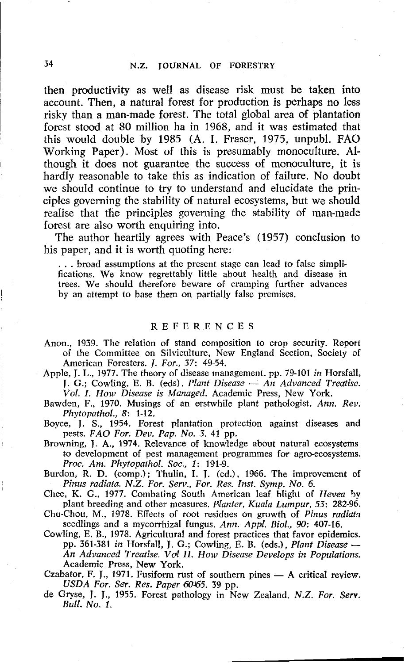then productivity as well as disease risk must be **taken** into account. Then, a natural forest for production is perhaps no less risky than a man-made forest. The total global area **of** plantation forest stood at 80 million ha in 1968, and it was estimated that this would double by 1985 (A. I. Fraser, 1975, unpubl. FAO Working Paper). Most of this is presumably monoculture. Although it does not guarantee the success of monoculture, it is hardly reasonable to take this as indication of failure. No doubt we should continue to try to understand and elucidate the principles governing the stability of natural ecosystems, but we should realise that the principles governing the stability of man-made forest are also worth enquiring into.

The author heartily agrees with Peace's (1957) conclusion to his paper, and it is worth quoting here:

. . . broad assumptions at the present stage can lead to false simplifications. We know regrettably little about health and disease in trees. We should therefore beware of cramping further advances by an attempt to base them **on** partially false premises.

#### REFERENCES

- Anon., **1939.** The relation of stand composition to crop security. Report of the Committee on Silviculture, New England Section, Society of American Foresters. **1.** *For.,* **37: 49-54.**
- Apple, **J. L., 1977.** The theory of disease management. pp. **79-101** *in* Horsfall, American Foresters. *J. For.*, 37: 49-54.<br>e, J. L., 1977. The theory of disease management. pp. 79-101 *in* Horsfall, J. G.; Cowling, E. B. (eds), *Plant Disease* — *An Advanced Treatise.* <br>*Vol. J. Hom Disease is Managed Vol. I. How Disease is Managed.* Academic Press, New York.
- Bawden, F., **1970.** Musings of an erstwhile plant pathologist. *Ann. Rev. Pkytopatkol., 8:* **1-12.**
- Boyce, **J.** S., **1954.** Forest plantation protection against diseases and pests. *FA0 For. Dev. Pap. No. 3.* **41** pp.

Browning, J. A,, **1974.** Relevance of knowledge about natural ecosystems to development of pest management programmes for agro-ecosystems. *Proc. Am. Pkytopathol. Soc.,* **1: 191-9.** 

Burdon, R. D. (comp.); Thulin, I. J. (ed.), **1966.** The improvement of *Pinus radiata. N.Z. For. Serv., For. Rex Inst. Symp. No. 6.* 

Chee, K. G., **1977.** Combating South American leaf blight of *Hevea* **by**  plant breeding and other measures. *Planter, Kuala Lumpur,* **53: 282-96.** 

- Chu-Chou, **M., 1978.** Effects of root residues on growth of *Pinus radiatn*  seedlings and a mycorrhizal fungus. *Ann. Appl. Biol., 90:* **407-16.**
- Cowling, E. B., **1978.** Agricultural and forest practices that favor epidemics. pp. **361-381** *in* Horsfall, **J.** G.; Cowling, E. B. (eds.), *Plant Disease* - *An Advanced Treatise. Vd II. How Disease Develops in Populations.*  Academic **Press,** New York.

Czabator, F. J., 1971. Fusiform rust of southern pines - A critical review. *USDA For. Ser. Res. Paper* **50165. 39** pp.

de Gryse, J. J., **1955.** Forest pathology in New Zealand. N.Z. *For. Serv. Bull. No.* **I.**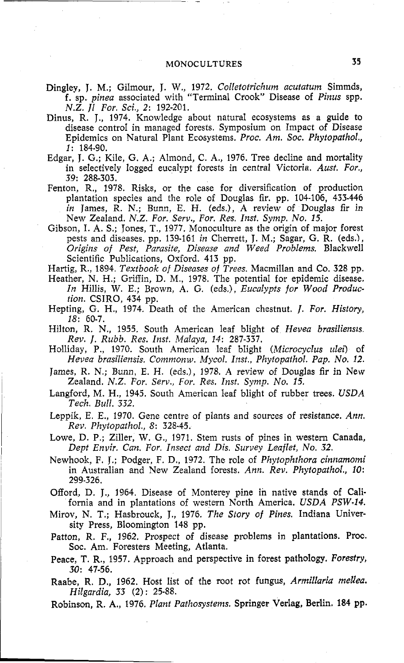- Dingley, J. M.; Gilmour, J. W., 1972. Colletotrichum acutatum Simmds, f. sp. *pinea* associated with "Terminal Crook" Disease of *Pinus* spp. *N.Z. J1 For. Sci.,* **2: 192-201.**
- Dinus, R. **J., 1974.** Knowledge about natural ecosystems as a guide to disease control in managed forests. Symposium on Impact of Disease Epidemics on Natural Plant Ecosystems. *Proc. Am. Soc. Phytopathol., 1:* **184-90.**
- Edgar, J. G.; Kile, G. A,; Almond, C. A,, **1976.** Tree decline and mortality in selectively logged eucalypt forests in central Victoria. *Aust. For., 39:* **288-303.**
- Fenton, R., **1978.** Risks, or the case for diversification of production plantation species and the role of Douglas fir. pp. **104-106, 433-446**  *in* James, R. *N.;* Bunn, E. H. (eds.), A review of Douglas fir in New Zealand. *N.Z. For. Serv., For. Res. Inst. Syinp. No. 15.*
- Gibson, I. A. S.; Jones, T., 1977. Monoculture as the origin of major forest pests and diseases. pp. **139-161** *in* Cherrett, J. *M.;* Sagar, G. R. (eds.), *Origins of Pest, Parasife, Disease and Weed Problems.* Blackwell Scientific Publications, Oxford. **413** pp.
- Hartig, R., **1894.** *Textbook o/ Diseases of Trees.* Macmillan and Co. **328** pp.
- Heather, N. H.; Griffin, D. M., 1978. The potential for epidemic disease. *In* Hillis, *W. E.;* Brown, A. G. (eds.), *Eucalypts for Wood Production.* CSIRO, **434** pp.
- Hepting, G. H., **1974.** Death of the American chestnut. 1. *For. History, 18:* **60-7.**
- Hilton, R. N., **1955.** South American leaf blight of *Hevea brasiliensls Rev. J. Rubb. Res. Insf. Malaya, 14:* **287-337.**
- Holliday, P., **1970.** South American leaf blight *(Microcyclus ulei)* of *Hevea brasiliensis. Commonw. Mycol. Inst., Phytopathol. Pap. No. 12.*
- James, R. N.; Bunn, E. H. (eds.), **1978.** A review of Douglas fir in New Zealand. *N.Z. For. Serv., For. Res. Inst. Symp. No. 15.*
- Langford, *M.* H., **1945.** South American leaf blight of rubber trees. *USDA Tech. Bull. 332.*
- Leppik, *E.* E., **1970.** Gene centre of plants and sources of resistance. *Ann. Rev. Phytopathol., 8:* **328-45.**
- Lowe, D. P.; Ziller, W. G., **1971.** Stem rusts of pines in western Canada, *Dept Envir. Can. For. Insect and Dis. Survey Leaflet, No. 32.*
- Newhook, F. J.; Podger, F. D., **1972.** The role of *Phytophthora cinnamomi*  in Australian and New Zealand forests. *Ann. Rev. Phytopathol., 10:*  **299-326.**
- Offord, D. J., **1964.** Disease of Monterey pine in native stands of California and in plantations of western North America. *USDA PSW-14.*
- Mirov, N. T.; Hasbrouck, J., **1976.** *The Story of Pines.* Indiana University Press, Bloomington **145** pp.
- Patton, **R.** F., **1962.** Prospect of disease problems in plantations. Proc. **Soc.** Am. Foresters Meeting, Atlanta.
- Peace, T. R., **1957.** Approach and perspective in forest pathology. *Forestry, 30:* **47-56.**
- Raabe, R. D., **1962.** Host list of the root rot fungus, *Armillaria mellea. Hilgardia, 33* **(2)** : **25-88.**
- Robinson, R. **A,, 1976.** *Plant Pathosystems.* Springer Verlag, Berlin. **184** pp.